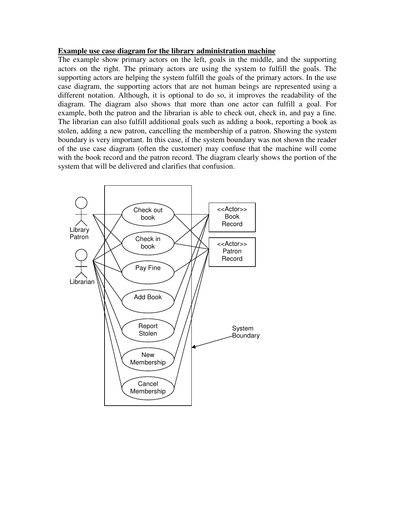## **Example use case diagram for the library administration machine**

The example show primary actors on the left, goals in the middle, and the supporting actors on the right. The primary actors are using the system to fulfill the goals. The supporting actors are helping the system fulfill the goals of the primary actors. In the use case diagram, the supporting actors that are not human beings are represented using a different notation. Although, it is optional to do so, it improves the readability of the diagram. The diagram also shows that more than one actor can fulfill a goal. For example, both the patron and the librarian is able to check out, check in, and pay a fine. The librarian can also fulfill additional goals such as adding a book, reporting a book as stolen, adding a new patron, cancelling the membership of a patron. Showing the system boundary is very important. In this case, if the system boundary was not shown the reader of the use case diagram (often the customer) may confuse that the machine will come with the book record and the patron record. The diagram clearly shows the portion of the system that will be delivered and clarifies that confusion.